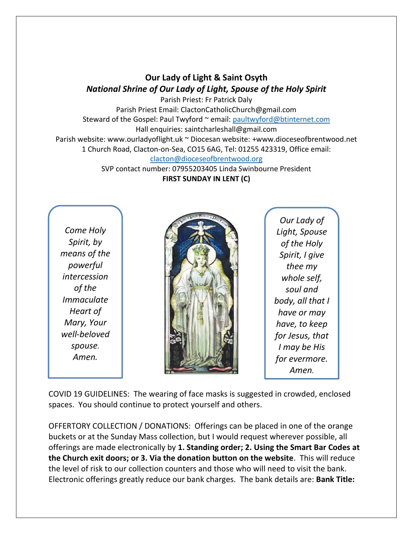## **Our Lady of Light & Saint Osyth** *National Shrine of Our Lady of Light, Spouse of the Holy Spirit*

Parish Priest: Fr Patrick Daly Parish Priest Email: ClactonCatholicChurch@gmail.com Steward of the Gospel: Paul Twyford ~ email: [paultwyford@btinternet.com](mailto:paultwyford@btinternet.com) Hall enquiries: saintcharleshall@gmail.com Parish website: www.ourladyoflight.uk ~ Diocesan website: +www.dioceseofbrentwood.net 1 Church Road, Clacton-on-Sea, CO15 6AG, Tel: 01255 423319, Office email: [clacton@dioceseofbrentwood.org](mailto:clacton@dioceseofbrentwood.org)

SVP contact number: 07955203405 Linda Swinbourne President **FIRST SUNDAY IN LENT (C)**

*Come Holy Spirit, by means of the powerful intercession of the Immaculate Heart of Mary, Your well-beloved spouse. Amen.*



*Our Lady of Light, Spouse of the Holy Spirit, I give thee my whole self, soul and body, all that I have or may have, to keep for Jesus, that I may be His for evermore. Amen.*

COVID 19 GUIDELINES: The wearing of face masks is suggested in crowded, enclosed spaces. You should continue to protect yourself and others.

OFFERTORY COLLECTION / DONATIONS: Offerings can be placed in one of the orange buckets or at the Sunday Mass collection, but I would request wherever possible, all offerings are made electronically by **1. Standing order; 2. Using the Smart Bar Codes at the Church exit doors; or 3. Via the donation button on the website**. This will reduce the level of risk to our collection counters and those who will need to visit the bank. Electronic offerings greatly reduce our bank charges. The bank details are: **Bank Title:**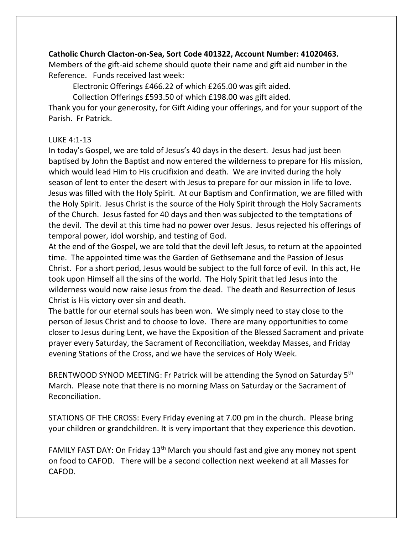## **Catholic Church Clacton-on-Sea, Sort Code 401322, Account Number: 41020463.**

Members of the gift-aid scheme should quote their name and gift aid number in the Reference. Funds received last week:

Electronic Offerings £466.22 of which £265.00 was gift aided.

Collection Offerings £593.50 of which £198.00 was gift aided.

Thank you for your generosity, for Gift Aiding your offerings, and for your support of the Parish. Fr Patrick.

## LUKE 4:1-13

In today's Gospel, we are told of Jesus's 40 days in the desert. Jesus had just been baptised by John the Baptist and now entered the wilderness to prepare for His mission, which would lead Him to His crucifixion and death. We are invited during the holy season of lent to enter the desert with Jesus to prepare for our mission in life to love. Jesus was filled with the Holy Spirit. At our Baptism and Confirmation, we are filled with the Holy Spirit. Jesus Christ is the source of the Holy Spirit through the Holy Sacraments of the Church. Jesus fasted for 40 days and then was subjected to the temptations of the devil. The devil at this time had no power over Jesus. Jesus rejected his offerings of temporal power, idol worship, and testing of God.

At the end of the Gospel, we are told that the devil left Jesus, to return at the appointed time. The appointed time was the Garden of Gethsemane and the Passion of Jesus Christ. For a short period, Jesus would be subject to the full force of evil. In this act, He took upon Himself all the sins of the world. The Holy Spirit that led Jesus into the wilderness would now raise Jesus from the dead. The death and Resurrection of Jesus Christ is His victory over sin and death.

The battle for our eternal souls has been won. We simply need to stay close to the person of Jesus Christ and to choose to love. There are many opportunities to come closer to Jesus during Lent, we have the Exposition of the Blessed Sacrament and private prayer every Saturday, the Sacrament of Reconciliation, weekday Masses, and Friday evening Stations of the Cross, and we have the services of Holy Week.

BRENTWOOD SYNOD MEETING: Fr Patrick will be attending the Synod on Saturday 5<sup>th</sup> March. Please note that there is no morning Mass on Saturday or the Sacrament of Reconciliation.

STATIONS OF THE CROSS: Every Friday evening at 7.00 pm in the church. Please bring your children or grandchildren. It is very important that they experience this devotion.

FAMILY FAST DAY: On Friday 13<sup>th</sup> March you should fast and give any money not spent on food to CAFOD. There will be a second collection next weekend at all Masses for CAFOD.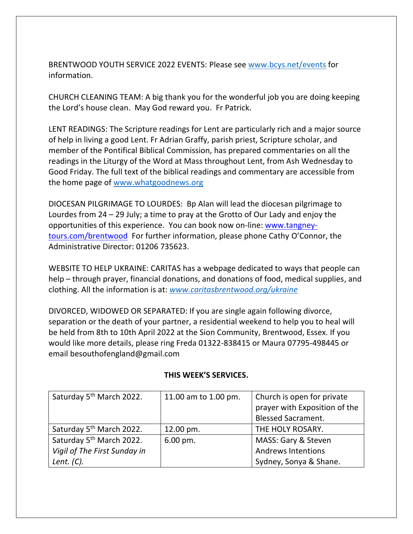BRENTWOOD YOUTH SERVICE 2022 EVENTS: Please see [www.bcys.net/events](http://www.bcys.net/events) for information.

CHURCH CLEANING TEAM: A big thank you for the wonderful job you are doing keeping the Lord's house clean. May God reward you. Fr Patrick.

LENT READINGS: The Scripture readings for Lent are particularly rich and a major source of help in living a good Lent. Fr Adrian Graffy, parish priest, Scripture scholar, and member of the Pontifical Biblical Commission, has prepared commentaries on all the readings in the Liturgy of the Word at Mass throughout Lent, from Ash Wednesday to Good Friday. The full text of the biblical readings and commentary are accessible from the home page of [www.whatgoodnews.org](http://www.whatgoodnews.org/)

DIOCESAN PILGRIMAGE TO LOURDES: Bp Alan will lead the diocesan pilgrimage to Lourdes from 24 – 29 July; a time to pray at the Grotto of Our Lady and enjoy the opportunities of this experience. You can book now on-line: [www.tangney](http://www.tangney-tours.com/brentwood)[tours.com/brentwood](http://www.tangney-tours.com/brentwood) For further information, please phone Cathy O'Connor, the Administrative Director: 01206 735623.

WEBSITE TO HELP UKRAINE: CARITAS has a webpage dedicated to ways that people can help – through prayer, financial donations, and donations of food, medical supplies, and clothing. All the information is at: *[www.caritasbrentwood.org/ukraine](http://www.caritasbrentwood.org/ukraine)*

DIVORCED, WIDOWED OR SEPARATED: If you are single again following divorce, separation or the death of your partner, a residential weekend to help you to heal will be held from 8th to 10th April 2022 at the Sion Community, Brentwood, Essex. If you would like more details, please ring Freda 01322-838415 or Maura 07795-498445 or email besouthofengland@gmail.com

| Saturday 5 <sup>th</sup> March 2022. | 11.00 am to 1.00 pm.   | Church is open for private    |
|--------------------------------------|------------------------|-------------------------------|
|                                      |                        | prayer with Exposition of the |
|                                      |                        | <b>Blessed Sacrament.</b>     |
| Saturday 5 <sup>th</sup> March 2022. | 12.00 pm.              | THE HOLY ROSARY.              |
| Saturday 5 <sup>th</sup> March 2022. | $6.00 \,\mathrm{pm}$ . | MASS: Gary & Steven           |
| Vigil of The First Sunday in         |                        | <b>Andrews Intentions</b>     |
| Lent. $(C)$ .                        |                        | Sydney, Sonya & Shane.        |

## **THIS WEEK'S SERVICES.**